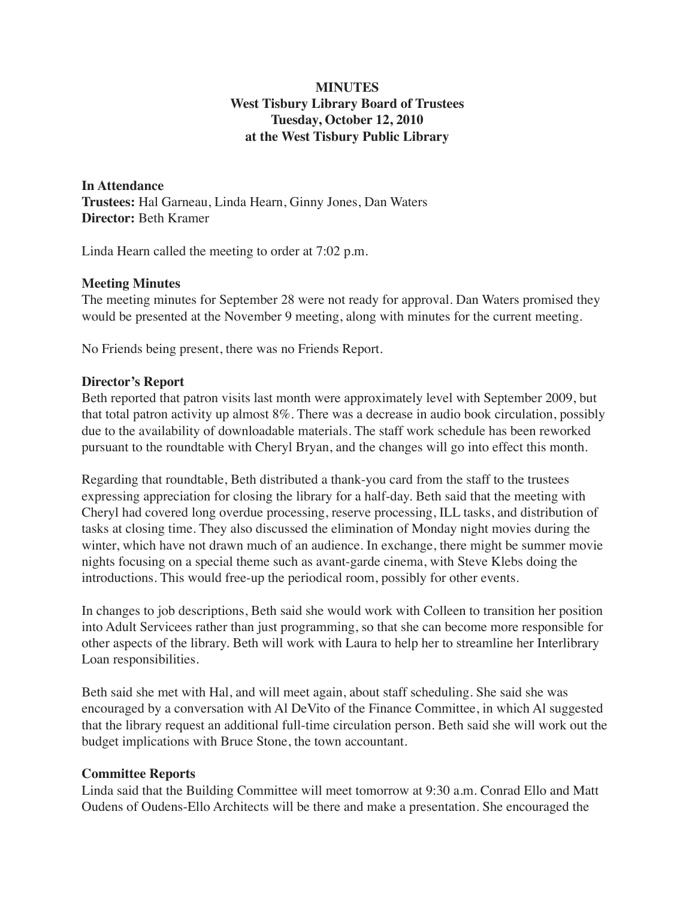# **MINUTES West Tisbury Library Board of Trustees Tuesday, October 12, 2010 at the West Tisbury Public Library**

**In Attendance Trustees:** Hal Garneau, Linda Hearn, Ginny Jones, Dan Waters **Director:** Beth Kramer

Linda Hearn called the meeting to order at 7:02 p.m.

#### **Meeting Minutes**

The meeting minutes for September 28 were not ready for approval. Dan Waters promised they would be presented at the November 9 meeting, along with minutes for the current meeting.

No Friends being present, there was no Friends Report.

## **Director's Report**

Beth reported that patron visits last month were approximately level with September 2009, but that total patron activity up almost 8%. There was a decrease in audio book circulation, possibly due to the availability of downloadable materials. The staff work schedule has been reworked pursuant to the roundtable with Cheryl Bryan, and the changes will go into effect this month.

Regarding that roundtable, Beth distributed a thank-you card from the staff to the trustees expressing appreciation for closing the library for a half-day. Beth said that the meeting with Cheryl had covered long overdue processing, reserve processing, ILL tasks, and distribution of tasks at closing time. They also discussed the elimination of Monday night movies during the winter, which have not drawn much of an audience. In exchange, there might be summer movie nights focusing on a special theme such as avant-garde cinema, with Steve Klebs doing the introductions. This would free-up the periodical room, possibly for other events.

In changes to job descriptions, Beth said she would work with Colleen to transition her position into Adult Servicees rather than just programming, so that she can become more responsible for other aspects of the library. Beth will work with Laura to help her to streamline her Interlibrary Loan responsibilities.

Beth said she met with Hal, and will meet again, about staff scheduling. She said she was encouraged by a conversation with Al DeVito of the Finance Committee, in which Al suggested that the library request an additional full-time circulation person. Beth said she will work out the budget implications with Bruce Stone, the town accountant.

#### **Committee Reports**

Linda said that the Building Committee will meet tomorrow at 9:30 a.m. Conrad Ello and Matt Oudens of Oudens-Ello Architects will be there and make a presentation. She encouraged the